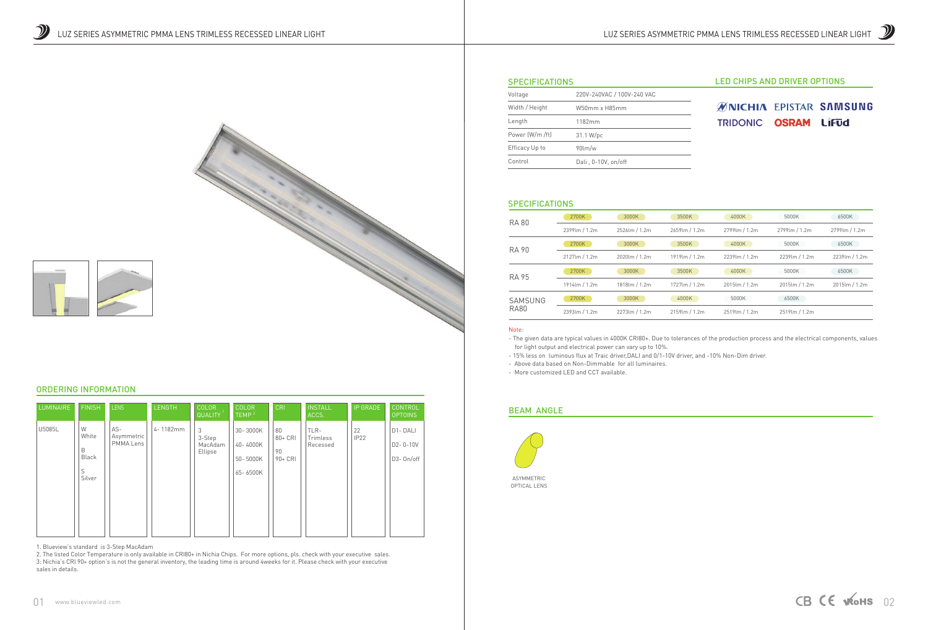







# **ØNICHIA EPISTAR SAMSUNG** TRIDONIC OSRAM LIFUd

| Voltage         | 220V-240VAC / 100V-240 VAC |  |  |
|-----------------|----------------------------|--|--|
| Width / Height  | W50mm x H85mm              |  |  |
| Length          | 1182mm                     |  |  |
| Power (W/m /ft) | 31.1 W/pc                  |  |  |
| Efficacy Up to  | $90$ lm/w                  |  |  |
| Control         | Dali, 0-10V, on/off        |  |  |

#### **SPECIFICATIONS**

#### Note:

- The given data are typical values in 4000K CRI80+. Due to tolerances of the production process and the electrical components, values for light output and electrical power can vary up to 10%. - 15% less on luminous flux at Traic driver,DALI and 0/1-10V driver, and -10% Non-Dim driver.

- Above data based on Non-Dimmable for all luminaires.
- More customized LED and CCT available.

| <b>RA 80</b> | 2700K          | 3000K          | 3500K            | 4000K          | 5000K            | 6500K         |
|--------------|----------------|----------------|------------------|----------------|------------------|---------------|
|              | 2399lm / 1.2m  | 2526lm / 1.2m  | 2659lm / 1.2m    | 2799 lm / 1.2m | 2799 lm / 1.2m   | 2799lm / 1.2m |
| RA 90        | 2700K          | 3000K          | 3500K            | 4000K          | 5000K            | 6500K         |
|              | 2127lm / 1.2m  | 2020lm / 1.2m  | 1919lm / 1.2m    | 2239lm / 1.2m  | 2239lm / 1.2m    | 2239lm / 1.2m |
| <b>RA 95</b> | 2700K          | 3000K          | 3500K            | 4000K          | 5000K            | 6500K         |
|              | 1914 lm / 1.2m | 1818 lm / 1.2m | 1727 lm / 1.2m   | 2015lm / 1.2m  | 2015lm / 1.2m    | 2015lm / 1.2m |
| SAMSUNG      | 2700K          | 3000K          | 4000K            | 5000K          | 6500K            |               |
| <b>RA80</b>  | 2393lm / 1.2m  | 2273lm / 1.2m  | $2159$ lm / 1.2m | 2519lm / 1.2m  | $2519$ lm / 1.2m |               |

# BEAM ANGLE



# ORDERING INFORMATION

1. Blueview's standard is 3-Step MacAdam

| <b>LUMINAIRE</b> | <b>FINISH</b>                                  | <b>LENS</b>                    | <b>LENGTH</b> | <b>COLOR</b><br>QUALITY           | <b>COLOR</b><br>TEMP <sup>2</sup>            | <b>CRI</b>                           | <b>INSTALL</b><br>ACCS.      | <b>IP GRADE</b>        | <b>CONTROL</b><br><b>OPTOINS</b>        |
|------------------|------------------------------------------------|--------------------------------|---------------|-----------------------------------|----------------------------------------------|--------------------------------------|------------------------------|------------------------|-----------------------------------------|
| U5085L           | W<br>White<br>B<br><b>Black</b><br>S<br>Silver | AS-<br>Asymmetric<br>PMMA Lens | 4-1182mm      | 3<br>3-Step<br>MacAdam<br>Ellipse | 30-3000K<br>40-4000K<br>50-5000K<br>65-6500K | 80<br>$80 + CRI$<br>90<br>$90 + CRI$ | TLR-<br>Trimless<br>Recessed | 22<br>IP <sub>22</sub> | D1-DALI<br>$D2 - 0 - 10V$<br>D3- On/off |

2. The listed Color Temperature is only available in CRI80+ in Nichia Chips. For more options, pls. check with your executive sales. 3: Nichia's CRI 90+ option's is not the general inventory, the leading time is around 4weeks for it. Please check with your executive sales in details.

### **SPECIFICATIONS**

ASYMMETRIC OPTICAL LENS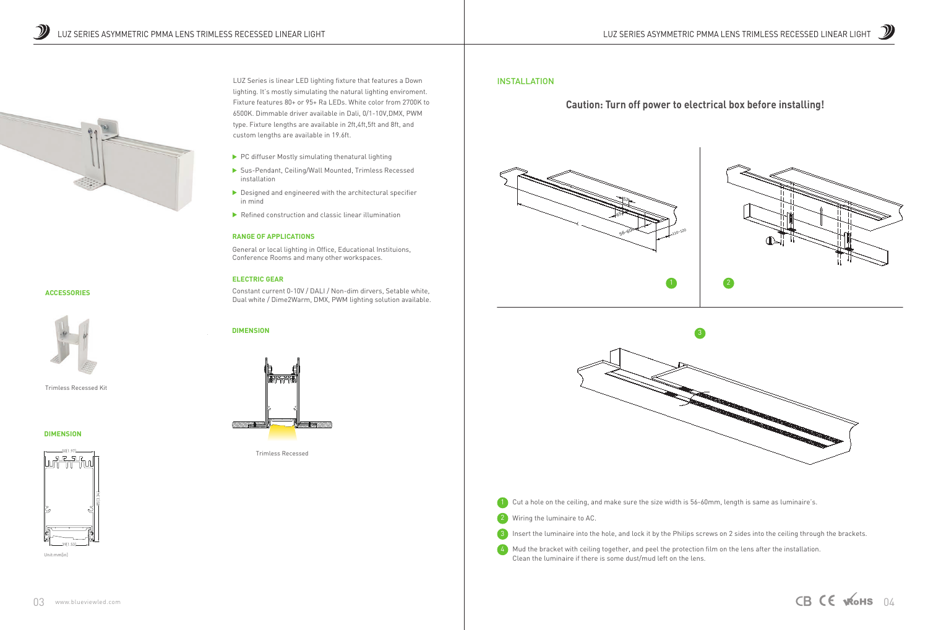

3 Insert the luminaire into the hole, and lock it by the Philips screws on 2 sides into the ceiling through the brackets.

4) Mud the bracket with ceiling together, and peel the protection film on the lens after the installation. Clean the luminaire if there is some dust/mud left on the lens.



## INSTALLATION

# **Caution: Turn off power to electrical box before installing!**





Trimless Recessed

## **ACCESSORIES**



Trimless Recessed Kit

#### **DIMENSION**

#### **RANGE OF APPLICATIONS**

General or local lighting in Office, Educational Instituions, Conference Rooms and many other workspaces.

#### **ELECTRIC GEAR**

Constant current 0-10V / DALI / Non-dim dirvers, Setable white, Dual white / Dime2Warm, DMX, PWM lighting solution available.

LUZ Series is linear LED lighting fixture that features a Down lighting. It's mostly simulating the natural lighting enviroment. Fixture features 80+ or 95+ Ra LEDs. White color from 2700K to 6500K. Dimmable driver available in Dali, 0/1-10V,DMX, PWM type. Fixture lengths are available in 2ft,4ft,5ft and 8ft, and custom lengths are available in 19.6ft.

- $\blacktriangleright$  PC diffuser Mostly simulating thenatural lighting
- Sus-Pendant, Ceiling/Wall Mounted, Trimless Recessed installation
- $\triangleright$  Designed and engineered with the architectural specifier in mind
- $\blacktriangleright$  Refined construction and classic linear illumination

### **DIMENSION**







Unit:mm[in]